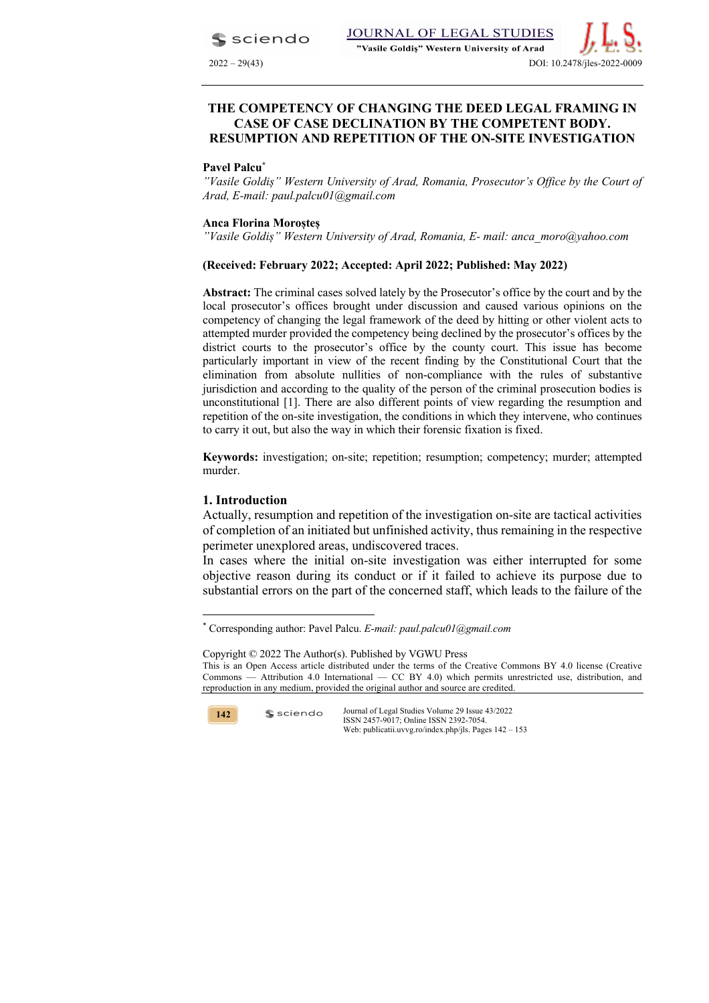sciendo



# **CASE OF CASE DECLINATION BY THE COMPETENT BODY. RESUMPTION AND REPETITION OF THE ON-SITE INVESTIGATION**

#### **Pavel Palcu\***

*"Vasile Goldiș" Western University of Arad, Romania, Prosecutor's Office by the Court of Arad, E-mail: paul.palcu01@gmail.com*

#### **Anca Florina Moroșteș**

*"Vasile Goldiș" Western University of Arad, Romania, E- mail: anca\_moro@yahoo.com*

### **(Received: February 2022; Accepted: April 2022; Published: May 2022)**

**Abstract:** The criminal cases solved lately by the Prosecutor's office by the court and by the local prosecutor's offices brought under discussion and caused various opinions on the competency of changing the legal framework of the deed by hitting or other violent acts to attempted murder provided the competency being declined by the prosecutor's offices by the district courts to the prosecutor's office by the county court. This issue has become particularly important in view of the recent finding by the Constitutional Court that the elimination from absolute nullities of non-compliance with the rules of substantive jurisdiction and according to the quality of the person of the criminal prosecution bodies is unconstitutional [1]. There are also different points of view regarding the resumption and repetition of the on-site investigation, the conditions in which they intervene, who continues to carry it out, but also the way in which their forensic fixation is fixed.

**Keywords:** investigation; on-site; repetition; resumption; competency; murder; attempted murder.

### **1. Introduction**

Actually, resumption and repetition of the investigation on-site are tactical activities of completion of an initiated but unfinished activity, thus remaining in the respective perimeter unexplored areas, undiscovered traces.

In cases where the initial on-site investigation was either interrupted for some objective reason during its conduct or if it failed to achieve its purpose due to substantial errors on the part of the concerned staff, which leads to the failure of the

Copyright © 2022 The Author(s). Published by VGWU Press This is an Open Access article distributed under the terms of the Creative Commons BY 4.0 license (Creative Commons — Attribution 4.0 International — CC BY 4.0) which permits unrestricted use, distribution, and reproduction in any medium, provided the original author and source are credited.



sciendo

<sup>\*</sup> Corresponding author: Pavel Palcu. *E-mail: paul.palcu01@gmail.com*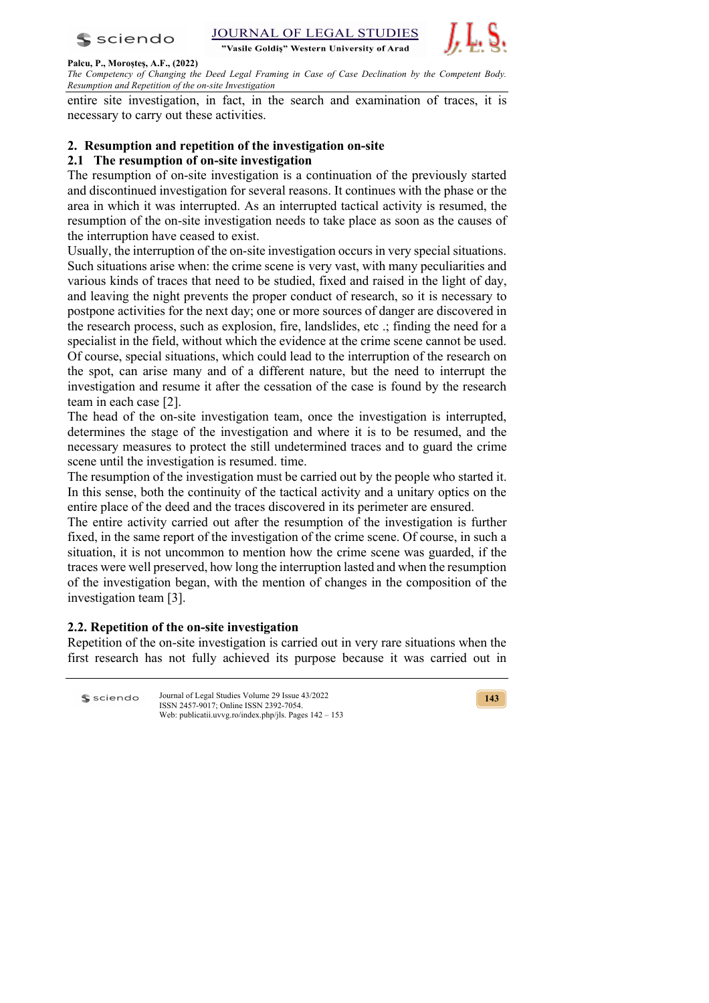



#### **Palcu, P., Moroșteș, A.F., (2022)**

*The Competency of Changing the Deed Legal Framing in Case of Case Declination by the Competent Body. Resumption and Repetition of the on-site Investigation*

entire site investigation, in fact, in the search and examination of traces, it is necessary to carry out these activities.

# **2. Resumption and repetition of the investigation on-site**

## **2.1 The resumption of on-site investigation**

The resumption of on-site investigation is a continuation of the previously started and discontinued investigation for several reasons. It continues with the phase or the area in which it was interrupted. As an interrupted tactical activity is resumed, the resumption of the on-site investigation needs to take place as soon as the causes of the interruption have ceased to exist.

Usually, the interruption of the on-site investigation occurs in very special situations. Such situations arise when: the crime scene is very vast, with many peculiarities and various kinds of traces that need to be studied, fixed and raised in the light of day, and leaving the night prevents the proper conduct of research, so it is necessary to postpone activities for the next day; one or more sources of danger are discovered in the research process, such as explosion, fire, landslides, etc .; finding the need for a specialist in the field, without which the evidence at the crime scene cannot be used. Of course, special situations, which could lead to the interruption of the research on the spot, can arise many and of a different nature, but the need to interrupt the investigation and resume it after the cessation of the case is found by the research team in each case [2].

The head of the on-site investigation team, once the investigation is interrupted, determines the stage of the investigation and where it is to be resumed, and the necessary measures to protect the still undetermined traces and to guard the crime scene until the investigation is resumed. time.

The resumption of the investigation must be carried out by the people who started it. In this sense, both the continuity of the tactical activity and a unitary optics on the entire place of the deed and the traces discovered in its perimeter are ensured.

The entire activity carried out after the resumption of the investigation is further fixed, in the same report of the investigation of the crime scene. Of course, in such a situation, it is not uncommon to mention how the crime scene was guarded, if the traces were well preserved, how long the interruption lasted and when the resumption of the investigation began, with the mention of changes in the composition of the investigation team [3].

## **2.2. Repetition of the on-site investigation**

Repetition of the on-site investigation is carried out in very rare situations when the first research has not fully achieved its purpose because it was carried out in

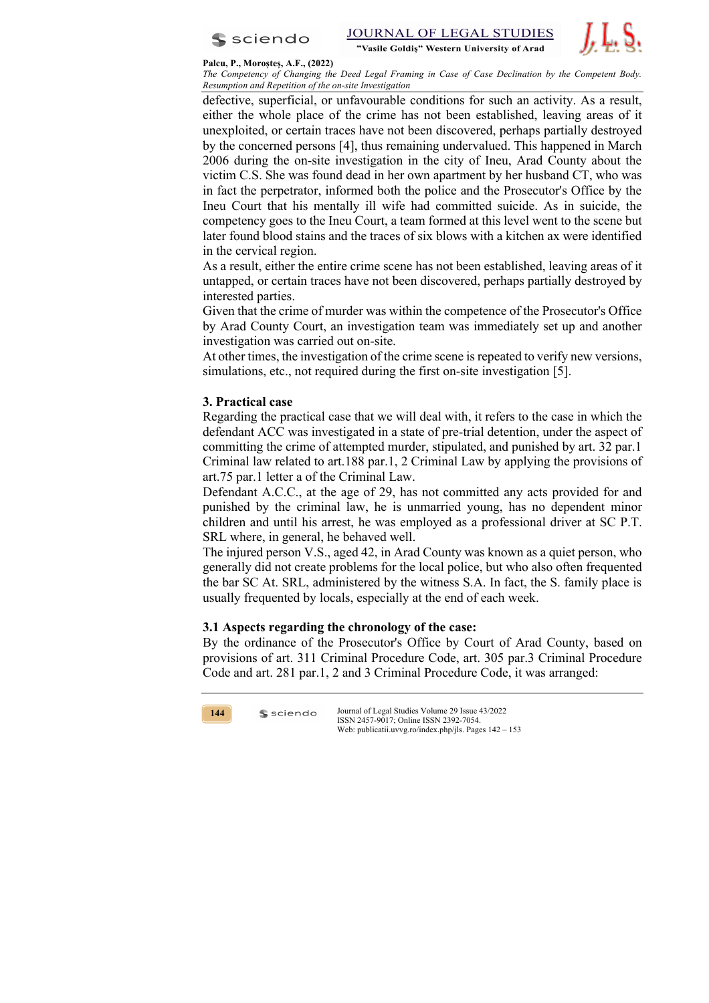



#### **Palcu, P., Moroșteș, A.F., (2022)**

*The Competency of Changing the Deed Legal Framing in Case of Case Declination by the Competent Body. Resumption and Repetition of the on-site Investigation*

defective, superficial, or unfavourable conditions for such an activity. As a result, either the whole place of the crime has not been established, leaving areas of it unexploited, or certain traces have not been discovered, perhaps partially destroyed by the concerned persons [4], thus remaining undervalued. This happened in March 2006 during the on-site investigation in the city of Ineu, Arad County about the victim C.S. She was found dead in her own apartment by her husband CT, who was in fact the perpetrator, informed both the police and the Prosecutor's Office by the Ineu Court that his mentally ill wife had committed suicide. As in suicide, the competency goes to the Ineu Court, a team formed at this level went to the scene but later found blood stains and the traces of six blows with a kitchen ax were identified in the cervical region.

As a result, either the entire crime scene has not been established, leaving areas of it untapped, or certain traces have not been discovered, perhaps partially destroyed by interested parties.

Given that the crime of murder was within the competence of the Prosecutor's Office by Arad County Court, an investigation team was immediately set up and another investigation was carried out on-site.

At other times, the investigation of the crime scene is repeated to verify new versions, simulations, etc., not required during the first on-site investigation [5].

# **3. Practical case**

Regarding the practical case that we will deal with, it refers to the case in which the defendant ACC was investigated in a state of pre-trial detention, under the aspect of committing the crime of attempted murder, stipulated, and punished by art. 32 par.1 Criminal law related to art.188 par.1, 2 Criminal Law by applying the provisions of art.75 par.1 letter a of the Criminal Law.

Defendant A.C.C., at the age of 29, has not committed any acts provided for and punished by the criminal law, he is unmarried young, has no dependent minor children and until his arrest, he was employed as a professional driver at SC P.T. SRL where, in general, he behaved well.

The injured person V.S., aged 42, in Arad County was known as a quiet person, who generally did not create problems for the local police, but who also often frequented the bar SC At. SRL, administered by the witness S.A. In fact, the S. family place is usually frequented by locals, especially at the end of each week.

## **3.1 Aspects regarding the chronology of the case:**

By the ordinance of the Prosecutor's Office by Court of Arad County, based on provisions of art. 311 Criminal Procedure Code, art. 305 par.3 Criminal Procedure Code and art. 281 par.1, 2 and 3 Criminal Procedure Code, it was arranged:



 $s$  sciendo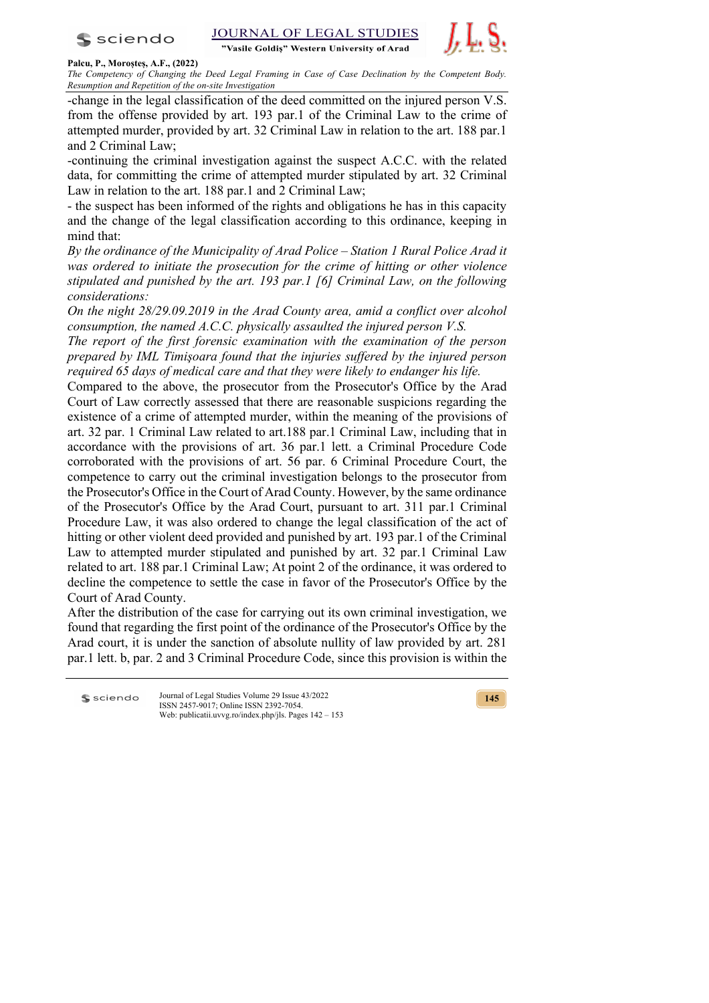

**STUDIES JOURNAL OF LEGAL** "Vasile Goldis" Western University of Arad



#### **Palcu, P., Moroșteș, A.F., (2022)**

*The Competency of Changing the Deed Legal Framing in Case of Case Declination by the Competent Body. Resumption and Repetition of the on-site Investigation*

-change in the legal classification of the deed committed on the injured person V.S. from the offense provided by art. 193 par.1 of the Criminal Law to the crime of attempted murder, provided by art. 32 Criminal Law in relation to the art. 188 par.1 and 2 Criminal Law;

-continuing the criminal investigation against the suspect A.C.C. with the related data, for committing the crime of attempted murder stipulated by art. 32 Criminal Law in relation to the art. 188 par.1 and 2 Criminal Law;

- the suspect has been informed of the rights and obligations he has in this capacity and the change of the legal classification according to this ordinance, keeping in mind that:

*By the ordinance of the Municipality of Arad Police – Station 1 Rural Police Arad it was ordered to initiate the prosecution for the crime of hitting or other violence stipulated and punished by the art. 193 par.1 [6] Criminal Law, on the following considerations:*

*On the night 28/29.09.2019 in the Arad County area, amid a conflict over alcohol consumption, the named A.C.C. physically assaulted the injured person V.S.*

*The report of the first forensic examination with the examination of the person prepared by IML Timişoara found that the injuries suffered by the injured person required 65 days of medical care and that they were likely to endanger his life.*

Compared to the above, the prosecutor from the Prosecutor's Office by the Arad Court of Law correctly assessed that there are reasonable suspicions regarding the existence of a crime of attempted murder, within the meaning of the provisions of art. 32 par. 1 Criminal Law related to art.188 par.1 Criminal Law, including that in accordance with the provisions of art. 36 par.1 lett. a Criminal Procedure Code corroborated with the provisions of art. 56 par. 6 Criminal Procedure Court, the competence to carry out the criminal investigation belongs to the prosecutor from the Prosecutor's Office in the Court of Arad County. However, by the same ordinance of the Prosecutor's Office by the Arad Court, pursuant to art. 311 par.1 Criminal Procedure Law, it was also ordered to change the legal classification of the act of hitting or other violent deed provided and punished by art. 193 par.1 of the Criminal Law to attempted murder stipulated and punished by art. 32 par.1 Criminal Law related to art. 188 par.1 Criminal Law; At point 2 of the ordinance, it was ordered to decline the competence to settle the case in favor of the Prosecutor's Office by the Court of Arad County.

After the distribution of the case for carrying out its own criminal investigation, we found that regarding the first point of the ordinance of the Prosecutor's Office by the Arad court, it is under the sanction of absolute nullity of law provided by art. 281 par.1 lett. b, par. 2 and 3 Criminal Procedure Code, since this provision is within the

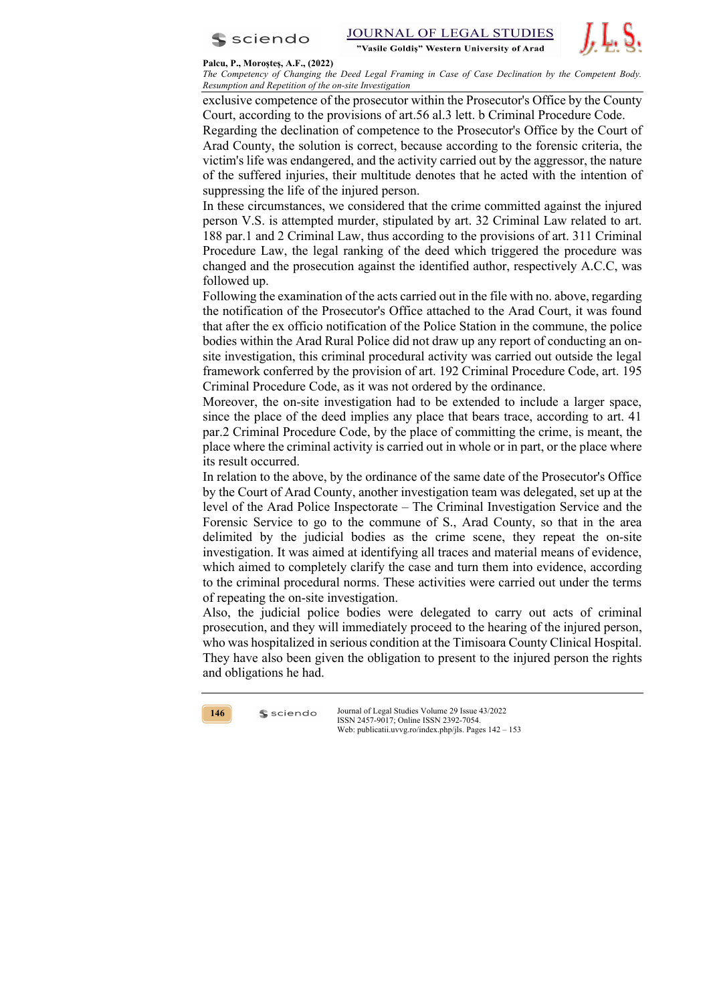



**Palcu, P., Moroșteș, A.F., (2022)**

*The Competency of Changing the Deed Legal Framing in Case of Case Declination by the Competent Body. Resumption and Repetition of the on-site Investigation*

exclusive competence of the prosecutor within the Prosecutor's Office by the County Court, according to the provisions of art.56 al.3 lett. b Criminal Procedure Code.

Regarding the declination of competence to the Prosecutor's Office by the Court of Arad County, the solution is correct, because according to the forensic criteria, the victim's life was endangered, and the activity carried out by the aggressor, the nature of the suffered injuries, their multitude denotes that he acted with the intention of suppressing the life of the injured person.

In these circumstances, we considered that the crime committed against the injured person V.S. is attempted murder, stipulated by art. 32 Criminal Law related to art. 188 par.1 and 2 Criminal Law, thus according to the provisions of art. 311 Criminal Procedure Law, the legal ranking of the deed which triggered the procedure was changed and the prosecution against the identified author, respectively A.C.C, was followed up.

Following the examination of the acts carried out in the file with no. above, regarding the notification of the Prosecutor's Office attached to the Arad Court, it was found that after the ex officio notification of the Police Station in the commune, the police bodies within the Arad Rural Police did not draw up any report of conducting an onsite investigation, this criminal procedural activity was carried out outside the legal framework conferred by the provision of art. 192 Criminal Procedure Code, art. 195 Criminal Procedure Code, as it was not ordered by the ordinance.

Moreover, the on-site investigation had to be extended to include a larger space, since the place of the deed implies any place that bears trace, according to art. 41 par.2 Criminal Procedure Code, by the place of committing the crime, is meant, the place where the criminal activity is carried out in whole or in part, or the place where its result occurred.

In relation to the above, by the ordinance of the same date of the Prosecutor's Office by the Court of Arad County, another investigation team was delegated, set up at the level of the Arad Police Inspectorate – The Criminal Investigation Service and the Forensic Service to go to the commune of S., Arad County, so that in the area delimited by the judicial bodies as the crime scene, they repeat the on-site investigation. It was aimed at identifying all traces and material means of evidence, which aimed to completely clarify the case and turn them into evidence, according to the criminal procedural norms. These activities were carried out under the terms of repeating the on-site investigation.

Also, the judicial police bodies were delegated to carry out acts of criminal prosecution, and they will immediately proceed to the hearing of the injured person, who was hospitalized in serious condition at the Timisoara County Clinical Hospital. They have also been given the obligation to present to the injured person the rights and obligations he had.



 $s$  sciendo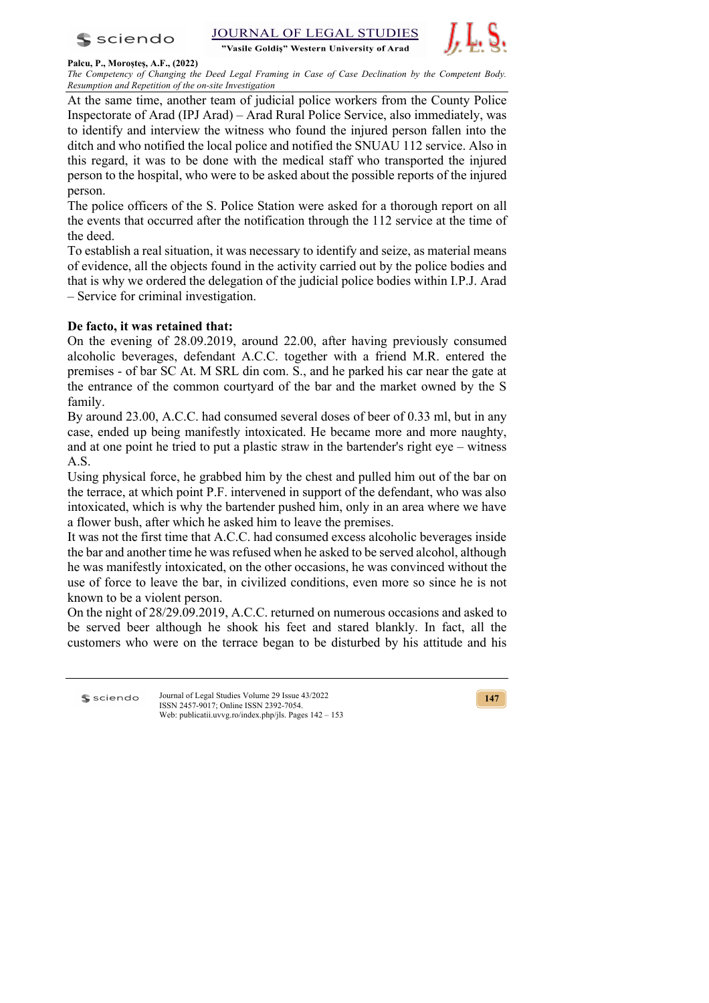



### **Palcu, P., Moroșteș, A.F., (2022)**

*The Competency of Changing the Deed Legal Framing in Case of Case Declination by the Competent Body. Resumption and Repetition of the on-site Investigation*

At the same time, another team of judicial police workers from the County Police Inspectorate of Arad (IPJ Arad) – Arad Rural Police Service, also immediately, was to identify and interview the witness who found the injured person fallen into the ditch and who notified the local police and notified the SNUAU 112 service. Also in this regard, it was to be done with the medical staff who transported the injured person to the hospital, who were to be asked about the possible reports of the injured person.

The police officers of the S. Police Station were asked for a thorough report on all the events that occurred after the notification through the 112 service at the time of the deed.

To establish a real situation, it was necessary to identify and seize, as material means of evidence, all the objects found in the activity carried out by the police bodies and that is why we ordered the delegation of the judicial police bodies within I.P.J. Arad – Service for criminal investigation.

# **De facto, it was retained that:**

On the evening of 28.09.2019, around 22.00, after having previously consumed alcoholic beverages, defendant A.C.C. together with a friend M.R. entered the premises - of bar SC At. M SRL din com. S., and he parked his car near the gate at the entrance of the common courtyard of the bar and the market owned by the S family.

By around 23.00, A.C.C. had consumed several doses of beer of 0.33 ml, but in any case, ended up being manifestly intoxicated. He became more and more naughty, and at one point he tried to put a plastic straw in the bartender's right eye – witness A.S.

Using physical force, he grabbed him by the chest and pulled him out of the bar on the terrace, at which point P.F. intervened in support of the defendant, who was also intoxicated, which is why the bartender pushed him, only in an area where we have a flower bush, after which he asked him to leave the premises.

It was not the first time that A.C.C. had consumed excess alcoholic beverages inside the bar and another time he was refused when he asked to be served alcohol, although he was manifestly intoxicated, on the other occasions, he was convinced without the use of force to leave the bar, in civilized conditions, even more so since he is not known to be a violent person.

On the night of 28/29.09.2019, A.C.C. returned on numerous occasions and asked to be served beer although he shook his feet and stared blankly. In fact, all the customers who were on the terrace began to be disturbed by his attitude and his

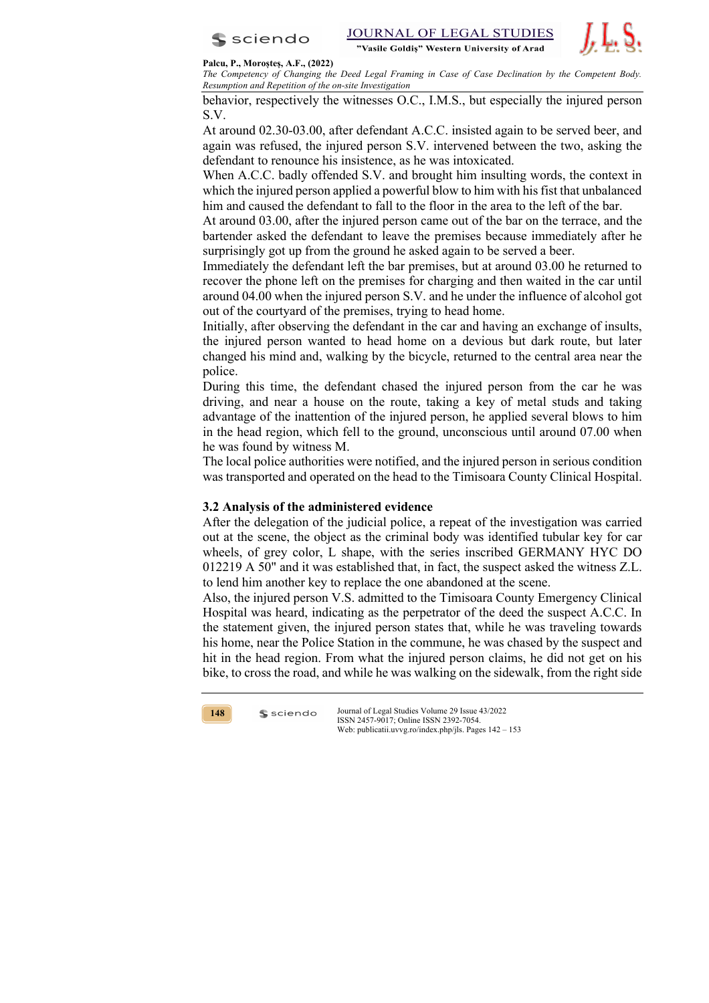



#### **Palcu, P., Moroșteș, A.F., (2022)**

*The Competency of Changing the Deed Legal Framing in Case of Case Declination by the Competent Body. Resumption and Repetition of the on-site Investigation*

behavior, respectively the witnesses O.C., I.M.S., but especially the injured person S.V.

At around 02.30-03.00, after defendant A.C.C. insisted again to be served beer, and again was refused, the injured person S.V. intervened between the two, asking the defendant to renounce his insistence, as he was intoxicated.

When A.C.C. badly offended S.V. and brought him insulting words, the context in which the injured person applied a powerful blow to him with his fist that unbalanced him and caused the defendant to fall to the floor in the area to the left of the bar.

At around 03.00, after the injured person came out of the bar on the terrace, and the bartender asked the defendant to leave the premises because immediately after he surprisingly got up from the ground he asked again to be served a beer.

Immediately the defendant left the bar premises, but at around 03.00 he returned to recover the phone left on the premises for charging and then waited in the car until around 04.00 when the injured person S.V. and he under the influence of alcohol got out of the courtyard of the premises, trying to head home.

Initially, after observing the defendant in the car and having an exchange of insults, the injured person wanted to head home on a devious but dark route, but later changed his mind and, walking by the bicycle, returned to the central area near the police.

During this time, the defendant chased the injured person from the car he was driving, and near a house on the route, taking a key of metal studs and taking advantage of the inattention of the injured person, he applied several blows to him in the head region, which fell to the ground, unconscious until around 07.00 when he was found by witness M.

The local police authorities were notified, and the injured person in serious condition was transported and operated on the head to the Timisoara County Clinical Hospital.

## **3.2 Analysis of the administered evidence**

After the delegation of the judicial police, a repeat of the investigation was carried out at the scene, the object as the criminal body was identified tubular key for car wheels, of grey color, L shape, with the series inscribed GERMANY HYC DO 012219 A 50" and it was established that, in fact, the suspect asked the witness Z.L. to lend him another key to replace the one abandoned at the scene.

Also, the injured person V.S. admitted to the Timisoara County Emergency Clinical Hospital was heard, indicating as the perpetrator of the deed the suspect A.C.C. In the statement given, the injured person states that, while he was traveling towards his home, near the Police Station in the commune, he was chased by the suspect and hit in the head region. From what the injured person claims, he did not get on his bike, to cross the road, and while he was walking on the sidewalk, from the right side



 $s$  sciendo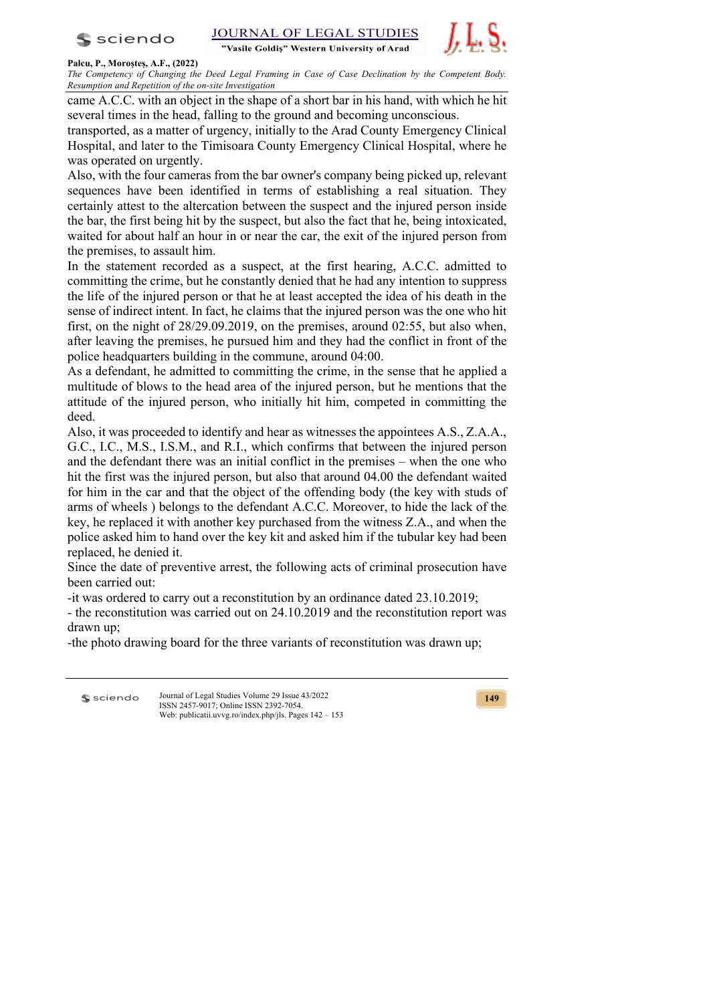



### **Palcu, P., Moroșteș, A.F., (2022)**

*The Competency of Changing the Deed Legal Framing in Case of Case Declination by the Competent Body. Resumption and Repetition of the on-site Investigation*

came A.C.C. with an object in the shape of a short bar in his hand, with which he hit several times in the head, falling to the ground and becoming unconscious.

transported, as a matter of urgency, initially to the Arad County Emergency Clinical Hospital, and later to the Timisoara County Emergency Clinical Hospital, where he was operated on urgently.

Also, with the four cameras from the bar owner's company being picked up, relevant sequences have been identified in terms of establishing a real situation. They certainly attest to the altercation between the suspect and the injured person inside the bar, the first being hit by the suspect, but also the fact that he, being intoxicated, waited for about half an hour in or near the car, the exit of the injured person from the premises, to assault him.

In the statement recorded as a suspect, at the first hearing, A.C.C. admitted to committing the crime, but he constantly denied that he had any intention to suppress the life of the injured person or that he at least accepted the idea of his death in the sense of indirect intent. In fact, he claims that the injured person was the one who hit first, on the night of 28/29.09.2019, on the premises, around 02:55, but also when, after leaving the premises, he pursued him and they had the conflict in front of the police headquarters building in the commune, around 04:00.

As a defendant, he admitted to committing the crime, in the sense that he applied a multitude of blows to the head area of the injured person, but he mentions that the attitude of the injured person, who initially hit him, competed in committing the deed.

Also, it was proceeded to identify and hear as witnesses the appointees A.S., Z.A.A., G.C., I.C., M.S., I.S.M., and R.I., which confirms that between the injured person and the defendant there was an initial conflict in the premises – when the one who hit the first was the injured person, but also that around 04.00 the defendant waited for him in the car and that the object of the offending body (the key with studs of arms of wheels ) belongs to the defendant A.C.C. Moreover, to hide the lack of the key, he replaced it with another key purchased from the witness Z.A., and when the police asked him to hand over the key kit and asked him if the tubular key had been replaced, he denied it.

Since the date of preventive arrest, the following acts of criminal prosecution have been carried out:

-it was ordered to carry out a reconstitution by an ordinance dated 23.10.2019;

- the reconstitution was carried out on 24.10.2019 and the reconstitution report was drawn up;

-the photo drawing board for the three variants of reconstitution was drawn up;

Journal of Legal Studies Volume 29 Issue 43/2022 **S** sciendo ISSN 2457-9017; Online ISSN 2392-7054. Web: publicatii.uvvg.ro/index.php/jls. Pages 142 – 153

**149**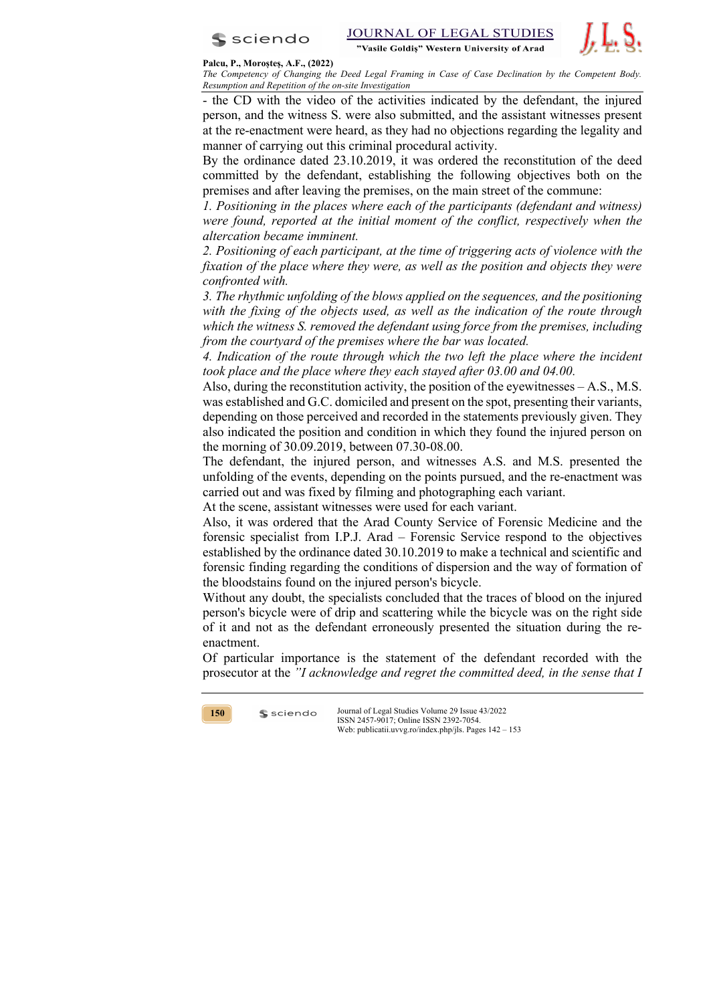



**Palcu, P., Moroșteș, A.F., (2022)**

*The Competency of Changing the Deed Legal Framing in Case of Case Declination by the Competent Body. Resumption and Repetition of the on-site Investigation*

- the CD with the video of the activities indicated by the defendant, the injured person, and the witness S. were also submitted, and the assistant witnesses present at the re-enactment were heard, as they had no objections regarding the legality and manner of carrying out this criminal procedural activity.

By the ordinance dated 23.10.2019, it was ordered the reconstitution of the deed committed by the defendant, establishing the following objectives both on the premises and after leaving the premises, on the main street of the commune:

*1. Positioning in the places where each of the participants (defendant and witness) were found, reported at the initial moment of the conflict, respectively when the altercation became imminent.*

*2. Positioning of each participant, at the time of triggering acts of violence with the fixation of the place where they were, as well as the position and objects they were confronted with.*

*3. The rhythmic unfolding of the blows applied on the sequences, and the positioning*  with the fixing of the objects used, as well as the indication of the route through *which the witness S. removed the defendant using force from the premises, including from the courtyard of the premises where the bar was located.*

*4. Indication of the route through which the two left the place where the incident took place and the place where they each stayed after 03.00 and 04.00.*

Also, during the reconstitution activity, the position of the eyewitnesses – A.S., M.S. was established and G.C. domiciled and present on the spot, presenting their variants, depending on those perceived and recorded in the statements previously given. They also indicated the position and condition in which they found the injured person on the morning of 30.09.2019, between 07.30-08.00.

The defendant, the injured person, and witnesses A.S. and M.S. presented the unfolding of the events, depending on the points pursued, and the re-enactment was carried out and was fixed by filming and photographing each variant.

At the scene, assistant witnesses were used for each variant.

Also, it was ordered that the Arad County Service of Forensic Medicine and the forensic specialist from I.P.J. Arad – Forensic Service respond to the objectives established by the ordinance dated 30.10.2019 to make a technical and scientific and forensic finding regarding the conditions of dispersion and the way of formation of the bloodstains found on the injured person's bicycle.

Without any doubt, the specialists concluded that the traces of blood on the injured person's bicycle were of drip and scattering while the bicycle was on the right side of it and not as the defendant erroneously presented the situation during the reenactment.

Of particular importance is the statement of the defendant recorded with the prosecutor at the *"I acknowledge and regret the committed deed, in the sense that I* 



 $s$  sciendo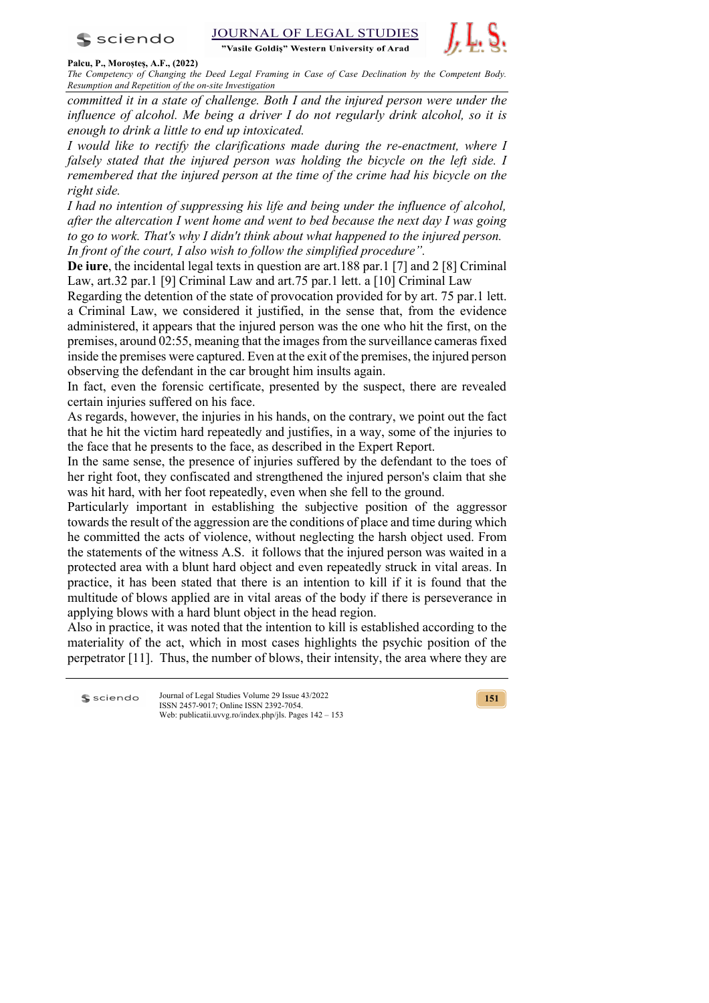

**JOURNAL OF LEGAL STUDIES** 

"Vasile Goldis" Western University of Arad



### **Palcu, P., Moroșteș, A.F., (2022)**

*The Competency of Changing the Deed Legal Framing in Case of Case Declination by the Competent Body. Resumption and Repetition of the on-site Investigation*

*committed it in a state of challenge. Both I and the injured person were under the influence of alcohol. Me being a driver I do not regularly drink alcohol, so it is enough to drink a little to end up intoxicated.*

*I* would like to rectify the clarifications made during the re-enactment, where *I falsely stated that the injured person was holding the bicycle on the left side. I remembered that the injured person at the time of the crime had his bicycle on the right side.* 

*I had no intention of suppressing his life and being under the influence of alcohol, after the altercation I went home and went to bed because the next day I was going to go to work. That's why I didn't think about what happened to the injured person. In front of the court, I also wish to follow the simplified procedure".*

**De iure**, the incidental legal texts in question are art.188 par.1 [7] and 2 [8] Criminal Law, art.32 par.1 [9] Criminal Law and art.75 par.1 lett. a [10] Criminal Law

Regarding the detention of the state of provocation provided for by art. 75 par.1 lett. a Criminal Law, we considered it justified, in the sense that, from the evidence administered, it appears that the injured person was the one who hit the first, on the premises, around 02:55, meaning that the images from the surveillance cameras fixed inside the premises were captured. Even at the exit of the premises, the injured person observing the defendant in the car brought him insults again.

In fact, even the forensic certificate, presented by the suspect, there are revealed certain injuries suffered on his face.

As regards, however, the injuries in his hands, on the contrary, we point out the fact that he hit the victim hard repeatedly and justifies, in a way, some of the injuries to the face that he presents to the face, as described in the Expert Report.

In the same sense, the presence of injuries suffered by the defendant to the toes of her right foot, they confiscated and strengthened the injured person's claim that she was hit hard, with her foot repeatedly, even when she fell to the ground.

Particularly important in establishing the subjective position of the aggressor towards the result of the aggression are the conditions of place and time during which he committed the acts of violence, without neglecting the harsh object used. From the statements of the witness A.S. it follows that the injured person was waited in a protected area with a blunt hard object and even repeatedly struck in vital areas. In practice, it has been stated that there is an intention to kill if it is found that the multitude of blows applied are in vital areas of the body if there is perseverance in applying blows with a hard blunt object in the head region.

Also in practice, it was noted that the intention to kill is established according to the materiality of the act, which in most cases highlights the psychic position of the perpetrator [11]. Thus, the number of blows, their intensity, the area where they are

Journal of Legal Studies Volume 29 Issue 43/2022 **S** sciendo ISSN 2457-9017; Online ISSN 2392-7054. Web: publicatii.uvvg.ro/index.php/jls. Pages 142 – 153

**151**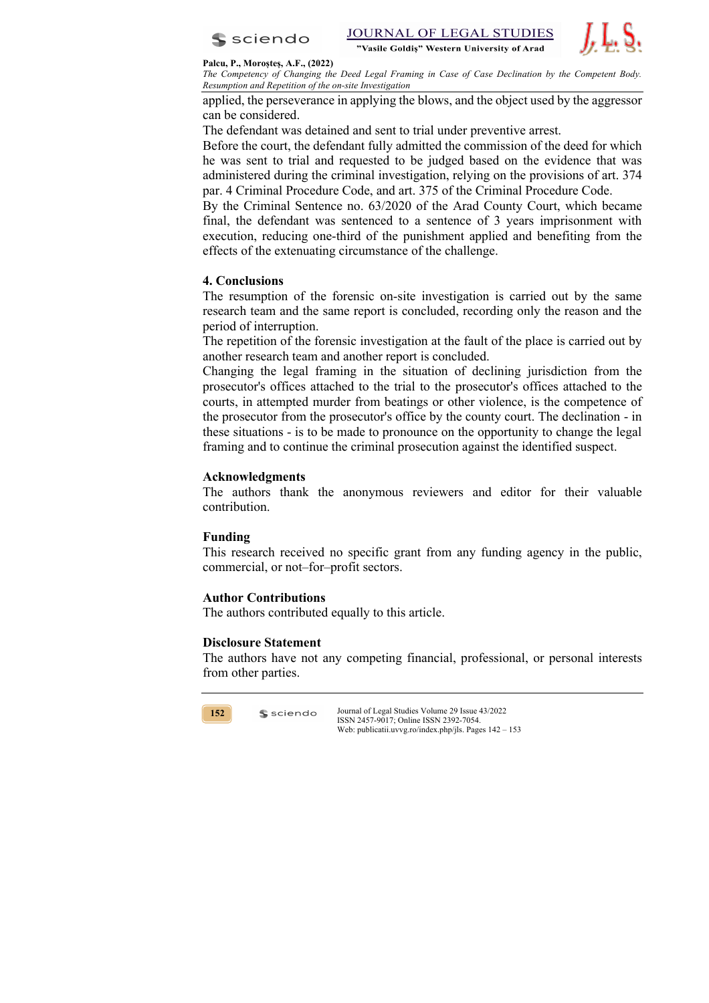



#### **Palcu, P., Moroșteș, A.F., (2022)**

*The Competency of Changing the Deed Legal Framing in Case of Case Declination by the Competent Body. Resumption and Repetition of the on-site Investigation*

applied, the perseverance in applying the blows, and the object used by the aggressor can be considered.

The defendant was detained and sent to trial under preventive arrest.

Before the court, the defendant fully admitted the commission of the deed for which he was sent to trial and requested to be judged based on the evidence that was administered during the criminal investigation, relying on the provisions of art. 374 par. 4 Criminal Procedure Code, and art. 375 of the Criminal Procedure Code.

By the Criminal Sentence no. 63/2020 of the Arad County Court, which became final, the defendant was sentenced to a sentence of 3 years imprisonment with execution, reducing one-third of the punishment applied and benefiting from the effects of the extenuating circumstance of the challenge.

# **4. Conclusions**

The resumption of the forensic on-site investigation is carried out by the same research team and the same report is concluded, recording only the reason and the period of interruption.

The repetition of the forensic investigation at the fault of the place is carried out by another research team and another report is concluded.

Changing the legal framing in the situation of declining jurisdiction from the prosecutor's offices attached to the trial to the prosecutor's offices attached to the courts, in attempted murder from beatings or other violence, is the competence of the prosecutor from the prosecutor's office by the county court. The declination - in these situations - is to be made to pronounce on the opportunity to change the legal framing and to continue the criminal prosecution against the identified suspect.

# **Acknowledgments**

The authors thank the anonymous reviewers and editor for their valuable contribution.

## **Funding**

This research received no specific grant from any funding agency in the public, commercial, or not–for–profit sectors.

## **Author Contributions**

The authors contributed equally to this article.

## **Disclosure Statement**

 $s$  sciendo

The authors have not any competing financial, professional, or personal interests from other parties.